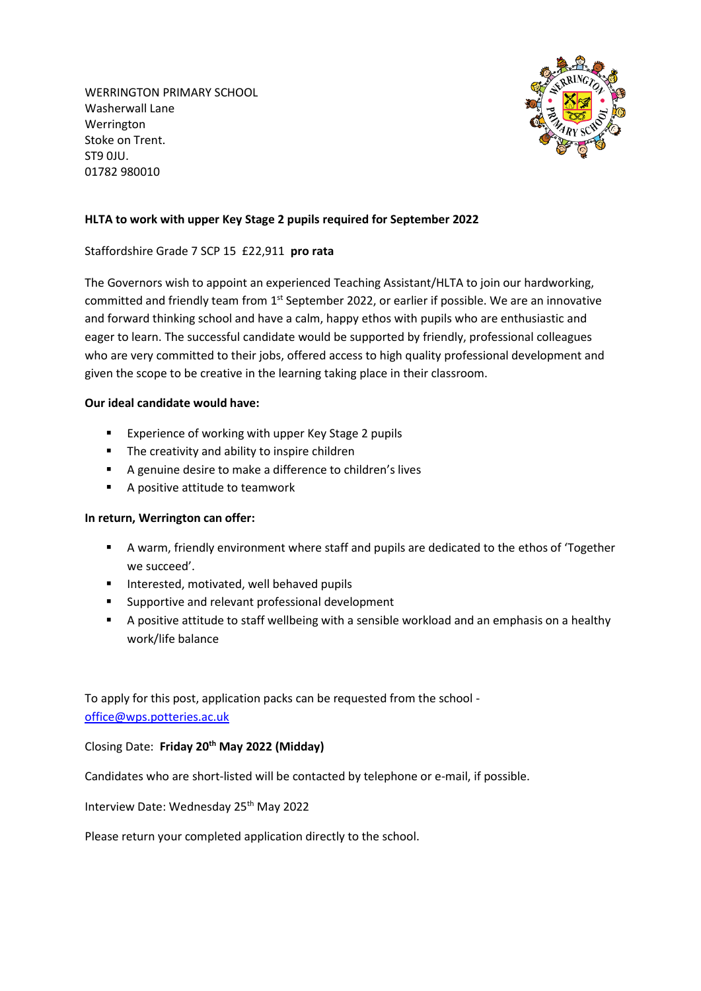WERRINGTON PRIMARY SCHOOL Washerwall Lane Werrington Stoke on Trent. ST9 0JU. 01782 980010



## **HLTA to work with upper Key Stage 2 pupils required for September 2022**

## Staffordshire Grade 7 SCP 15 £22,911 **pro rata**

The Governors wish to appoint an experienced Teaching Assistant/HLTA to join our hardworking, committed and friendly team from  $1<sup>st</sup>$  September 2022, or earlier if possible. We are an innovative and forward thinking school and have a calm, happy ethos with pupils who are enthusiastic and eager to learn. The successful candidate would be supported by friendly, professional colleagues who are very committed to their jobs, offered access to high quality professional development and given the scope to be creative in the learning taking place in their classroom.

## **Our ideal candidate would have:**

- **EXPERIENCE OF WORKING WITH UPPER KEY STAGE 2 pupils**
- **The creativity and ability to inspire children**
- A genuine desire to make a difference to children's lives
- A positive attitude to teamwork

## **In return, Werrington can offer:**

- A warm, friendly environment where staff and pupils are dedicated to the ethos of 'Together we succeed'.
- **Interested, motivated, well behaved pupils**
- **EXECUTE:** Supportive and relevant professional development
- A positive attitude to staff wellbeing with a sensible workload and an emphasis on a healthy work/life balance

To apply for this post, application packs can be requested from the school [office@wps.potteries.ac.uk](mailto:office@wps.potteries.ac.uk)

Closing Date: **Friday 20th May 2022 (Midday)**

Candidates who are short-listed will be contacted by telephone or e-mail, if possible.

Interview Date: Wednesday 25<sup>th</sup> May 2022

Please return your completed application directly to the school.